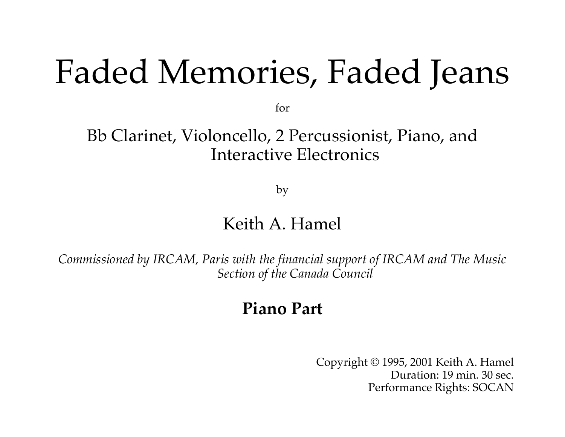# Faded Memories, Faded Jeans

for

Bb Clarinet, Violoncello, 2 Percussionist, Piano, and Interactive Electronics

by

# Keith A. Hamel

*Commissioned by IRCAM, Paris with the financial support of IRCAM and The Music Section of the Canada Council*

# **Piano Part**

Copyright © 1995, 2001 Keith A. Hamel Duration: 19 min. 30 sec. Performance Rights: SOCAN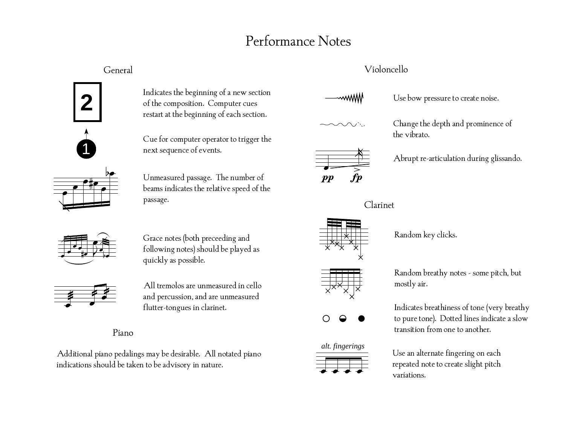# Performance Notes

# General



**2** Indicates the beginning of <sup>a</sup> new section of the composition. Computer cues restart at the beginning of each section.

<sup>1</sup> Cue for computer operator to trigger the next sequence of events.

 Unmeasured passage. The number of beams indicates the relative speed of the passage.



 $\overset{\bullet\sharp\bullet}{\mathord{\textbf{I}}}\bullet$ 

0 O

> Grace notes (both preceeding and following notes) should be <sup>p</sup>layed as quickly as possible.



All tremolos are unmeasured in cello and percussion, and are unmeasured flutter-tongues in clarinet.

## Piano

Additional <sup>p</sup>iano pedalings may be desirable. All notated <sup>p</sup>iano indications should be taken to be advisory in nature.

# Violoncello



Use bow pressure to create noise.



Change the depth and prominence of the vibrato.



Abrupt re-articulation during <sup>g</sup>lissando.





Random key clicks.



Random breathy notes - some <sup>p</sup>itch, but mostly air.



Indicates breathiness of tone (very breathy to pure tone). Dotted lines indicate <sup>a</sup> slow transition from one to another.

Use an alternate fingering on each repeated note to create slight <sup>p</sup>itch variations.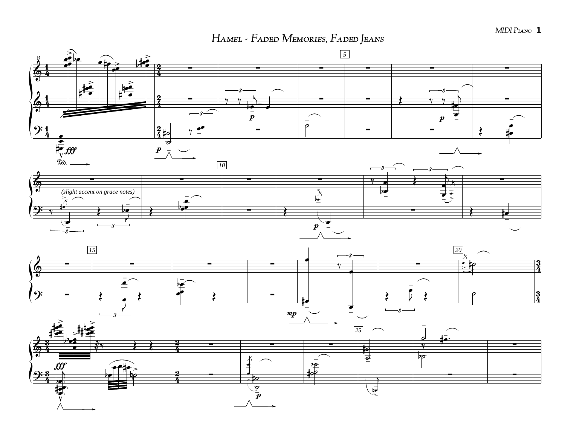MIDI Piano **1**

Hamel - Faded Memories, Faded Jeans

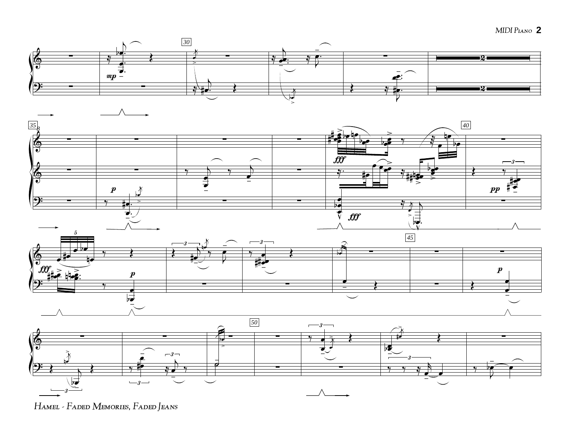



Hamel - Faded Memories, Faded Jeans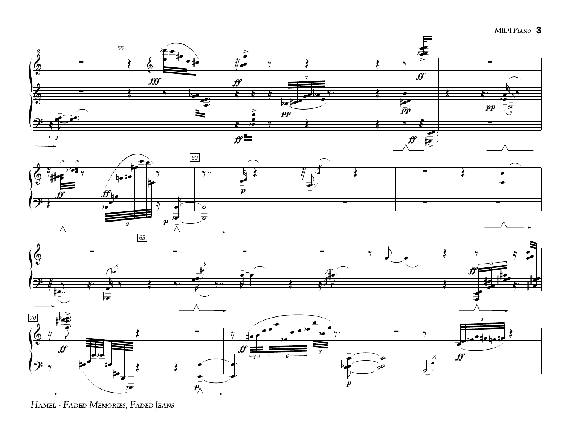







Hamel - Faded Memories, Faded Jeans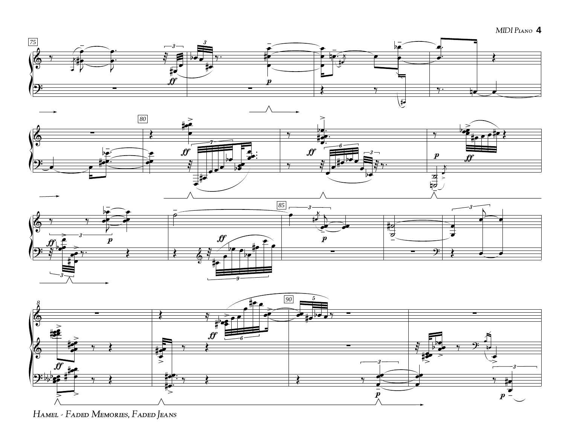







Hamel - Faded Memories, Faded Jeans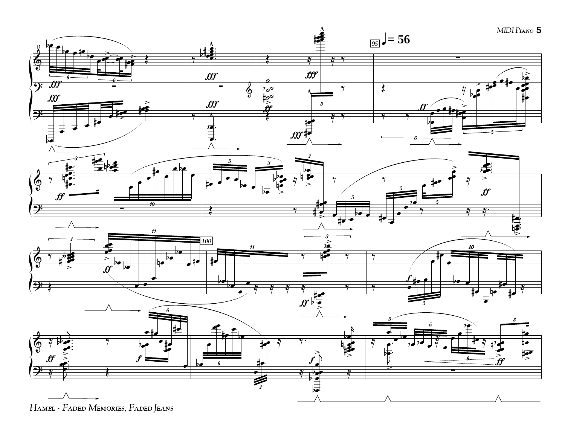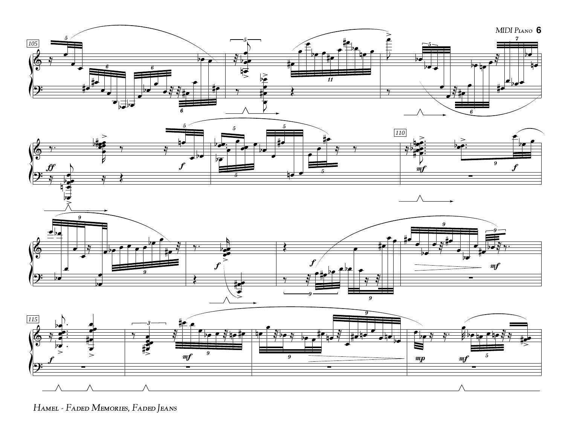

Hamel - Faded Memories, Faded Jeans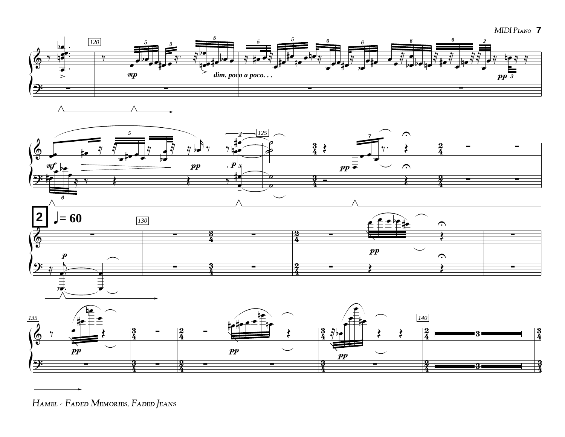







Hamel - Faded Memories, Faded Jeans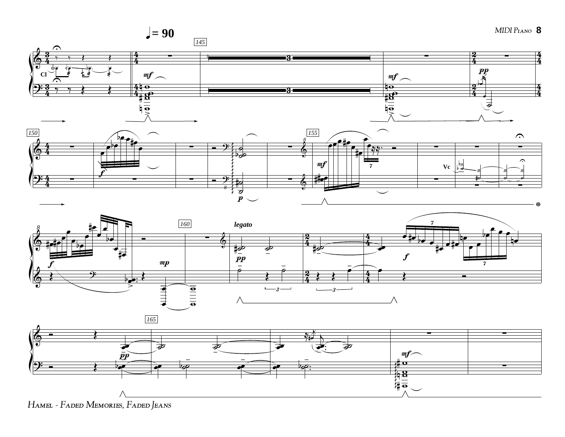

Hamel - Faded Memories, Faded Jeans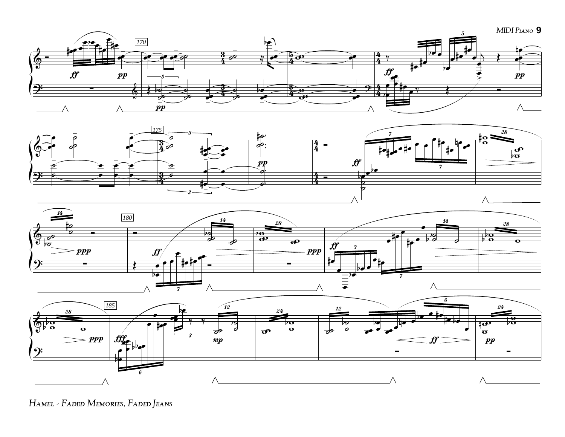







Hamel - Faded Memories, Faded Jeans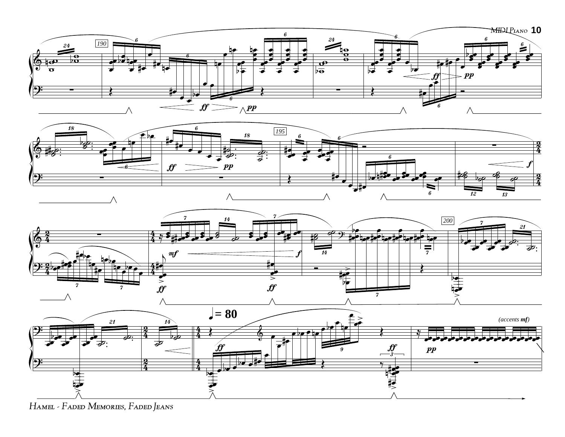







Hamel - Faded Memories, Faded Jeans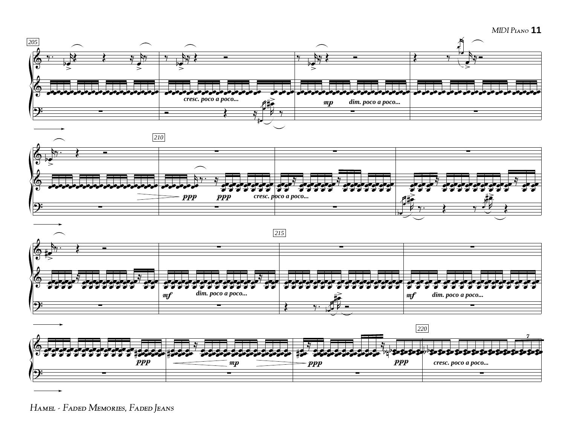









HAMEL - FADED MEMORIES, FADED JEANS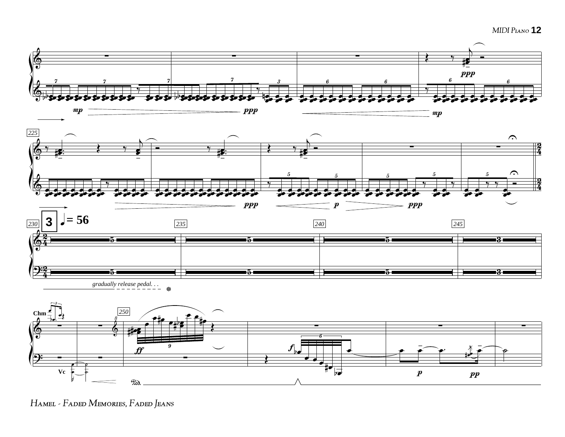





) *gradually release pedal. . .*



Hamel - Faded Memories, Faded Jeans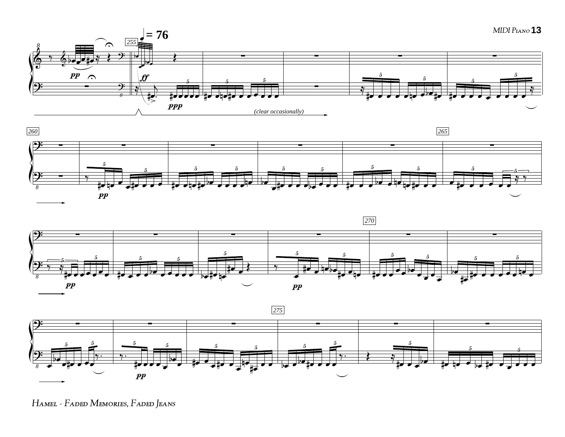







Hamel - Faded Memories, Faded Jeans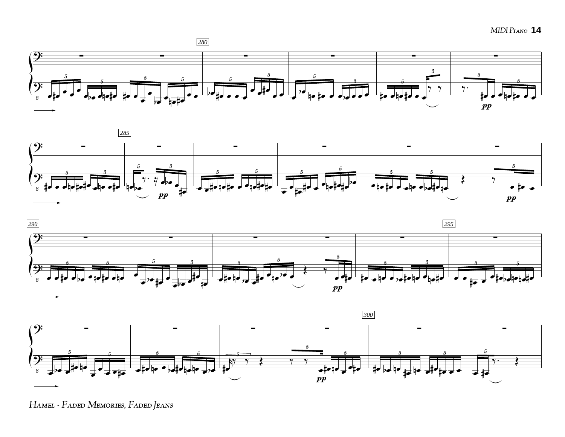<u>ጋ፡</u> <u>J:</u> -O % ⋕•  $\pm\bullet$ o  $\overline{\phantom{a}}$ O %  $\overline{\phantom{a}}$ 20 †∙‡† σπ ⋕ − O % **;,,,** 7  $\mathbf{F}$  $\overline{5}$  $\pm \bullet$ % --操 \_ ⊶™ ╞ o O − Ø %  $\frac{1}{10}$  $\bullet^-$ . . . ≁  $\mathbf{I}$  $\mathfrak{p}$ Ø ⋕∙ O --*280* o % --,, †∙ † {• T  $\overrightarrow{ }$ . . %  $\overline{\phantom{a}}$ 20 . . - -— O % **;,,,** ┙<sup>┧</sup>╡┙⋕ѻ  $\boldsymbol{\sigma}$  II  $\overline{\bullet}$ Ø  $\mathfrak s$ -- $\gamma$  y — <u>y.</u>  $\mathfrak s$ ⋕●  $\boldsymbol{pp}$ O -0 % †∙‡ σπ  $\overrightarrow{ }$ ∙

MIDI Piano **14**







Hamel - Faded Memories, Faded Jeans

*8*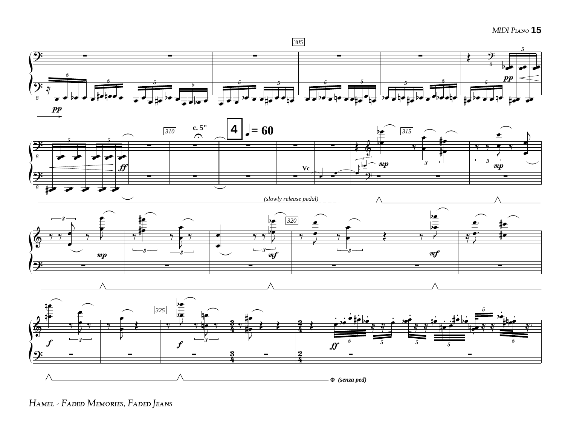

Hamel - Faded Memories, Faded Jeans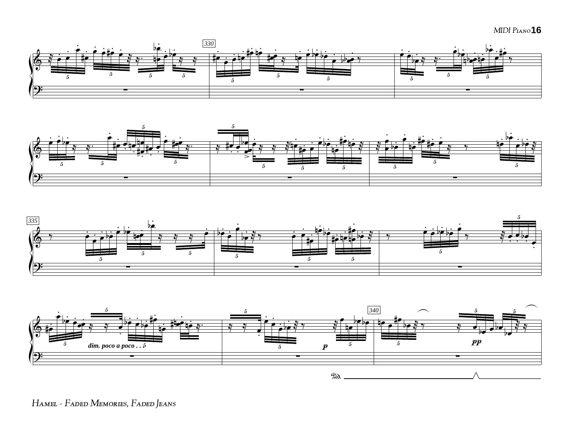







 $\mathcal{R}$ a.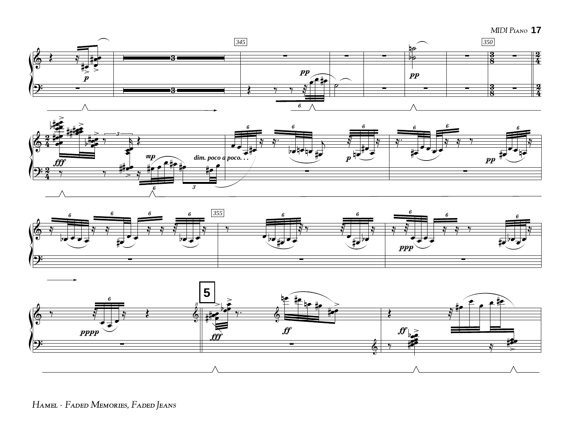





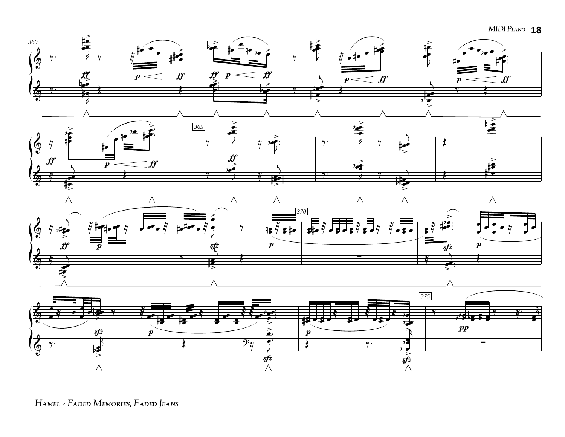```
MIDI Piano 18
```


Hamel - Faded Memories, Faded Jeans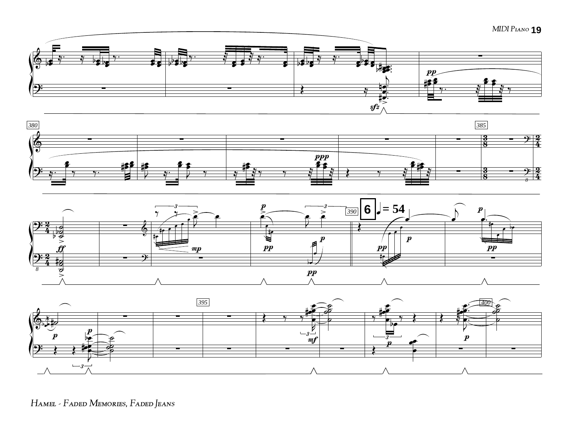









Hamel - Faded Memories, Faded Jeans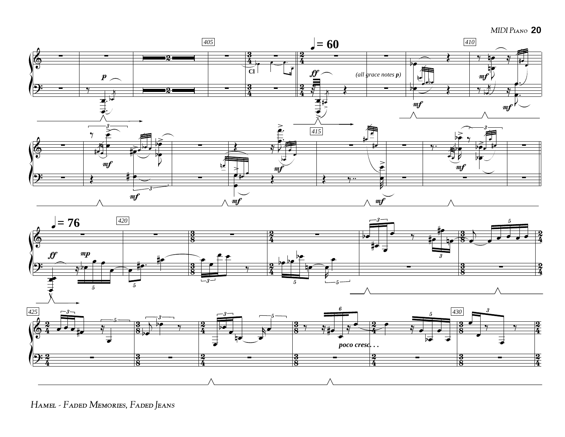**20** MIDI Piano





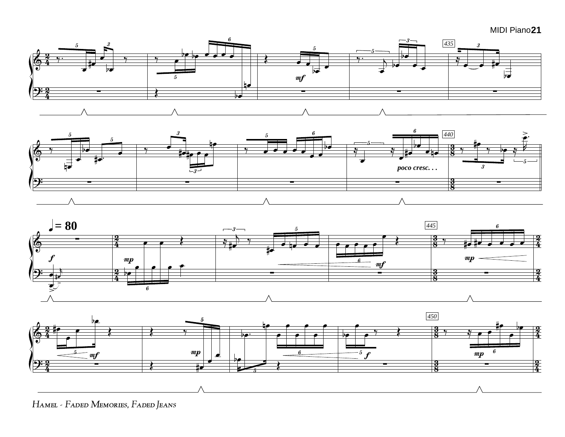





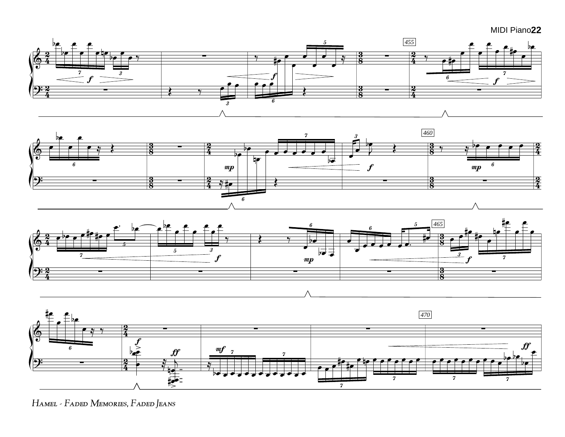





 $\frac{1}{2}$  $\Theta$ 0 6 ⋕ \_\_ . . -o O \_\_ \_\_ £♭•  $\bullet$  y y ▄ ▬  $2$ 4  $\boldsymbol{f}$ b  $\pmb{\mathit{fj}}$ O > <u>হ</u>  $\frac{2}{4}$   $\frac{y}{4}$ J  $\Rightarrow$  $\overline{\mathbf{r}}$  $\frac{1}{\sqrt{2}}$  $\frac{1}{\sqrt{2}}$ ▄ mf  $_{7}$ ý  $\overrightarrow{v}$  ,  $\overrightarrow{v}$  ,  $\overrightarrow{v}$  ,  $\overrightarrow{v}$ 2 チブチブチブチ ▬ o  $\boldsymbol{7}$ Ø  $\overline{\phantom{a}}$  $\mathsf{H}$  $\overline{\phantom{a}}$  $\overline{7}$ . . . . . *.* ff o  $\overline{7}$ <u>. . . . . . .</u>  $\boldsymbol{7}$  $\rightarrow$ *470*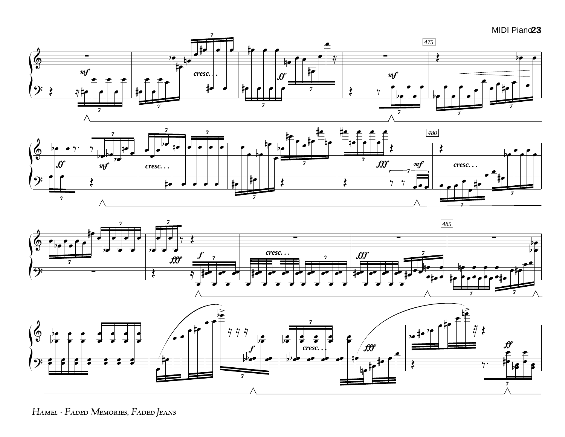**CO**  $\epsilon$  $m f$  $\frac{2}{7}$  $\overline{7}$ ŧ o o \_\_ \_\_ o o \_\_ \_\_ 0 0 --\_\_ क्रू ⊫ o 7 İ ┵ . . . o 7 ŧ o --\_\_ o o \_\_ \_\_ ∙ ⋕  $\bullet\hspace{-4pt}-\hspace{-4pt}-\hspace{-4pt}-\hspace{-4pt}-\hspace{-4pt}-$ ⋕ . . . ff ο 7  $\bullet$   $\bullet$   $\bullet$ ₩ o o ---- $\mathbf{\mathbf{\mathbf{\mathsf{y}}}}$ o  $\overline{z}$ ⋕  $\bullet\hspace{-0.75mm}\rightarrow\hspace{-0.75mm}\bullet\hspace{-0.75mm}\rightarrow\hspace{-0.75mm}\bullet$   $m f$  $\frac{1}{2}$   $\frac{1}{2}$  $\boldsymbol{7}$ Ø  $\frac{1}{2}$ Ø O Ø  $\leftrightarrow$ Ø 7 b Ø Ø Ø Ø Ø ◢ o 7  $\mathbf{\mathring{=}}$  $\mathbf{f}$ *475* **23** MIDI Piano *cresc. . .*







Hamel - Faded Memories, Faded Jeans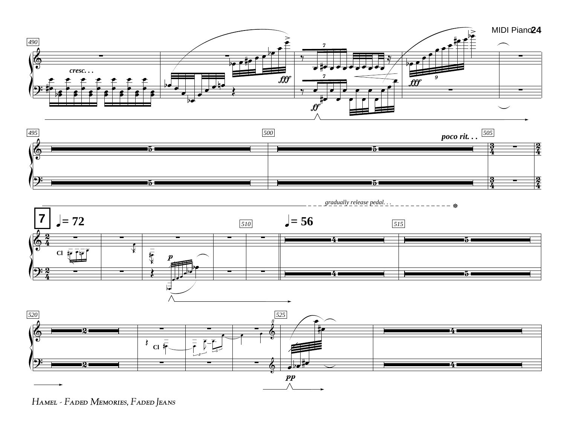